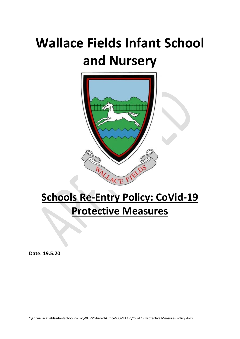# **Wallace Fields Infant School and Nursery**



## **Schools Re-Entry Policy: CoVid-19 Protective Measures**

**Date: 19.5.20**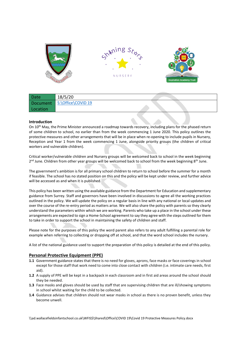

| Date     | 18/5/20                     |
|----------|-----------------------------|
|          | Document S:\Office\COVID 19 |
| Location |                             |

#### **Introduction**

On 10<sup>th</sup> May, the Prime Minister announced a roadmap towards recovery, including plans for the [phased](https://www.gov.uk/government/publications/actions-for-educational-and-childcare-settings-to-prepare-for-wider-opening-from-1-june-2020) return of some [children](https://www.gov.uk/government/publications/actions-for-educational-and-childcare-settings-to-prepare-for-wider-opening-from-1-june-2020) to school, no earlier than from the week commencing 1 June 2020. This policy outlines the protective measures and other arrangements that will be in place when re-opening to include pupils in Nursery, Reception and Year 1 from the week commencing 1 June, alongside priority groups (the children of critical workers an[d vulnerable](https://www.gov.uk/government/publications/coronavirus-covid-19-guidance-on-vulnerable-children-and-young-people) children).

Critical worker/vulnerable children and Nursery groups will be welcomed back to school in the week beginning 2<sup>nd</sup> June. Children from other year groups will be welcomed back to school from the week beginning 8<sup>th</sup> June.

The government's ambition is for all primary school children to return to school before the summer for a month if feasible. The school has no stated position on this and the policy will be kept under review, and further advice will be accessed as and when it is published.

This policy has been written using the available guidance from the Department for Education and supplementary guidance from Surrey. Staff and governors have been involved in discussions to agree all the working practices outlined in the policy. We will update the policy on a regular basis in line with any national or local updates and over the course of the re-entry period as matters arise. We will also share the policy with parents so they clearly understand the parameters within which we are working. Parents who take up a place in the school under these arrangements are expected to sign a Home-School agreement to say they agree with the steps outlined for them to take in order to support the school in maintaining the safety of children and staff.

Please note for the purposes of this policy the word parent also refers to any adult fulfilling a parental role for example when referring to collecting or dropping off at school, and that the word school includes the nursery.

A list of the national guidance used to support the preparation of this policy is detailed at the end of this policy.

#### **Personal Protective Equipment (PPE)**

- **1.1** Government guidance states that there is no need for gloves, aprons, face masks or face coverings in school except for those staff that work need to come into close contact with children (i.e. intimate care needs, first aid).
- **1.2** A supply of PPE will be kept in a backpack in each classroom and in first aid areas around the school should they be needed.
- **1.3** Face masks and gloves should be used by staff that are supervising children that are ill/showing symptoms in school whilst waiting for the child to be collected.
- **1.4** Guidance advises that children should not wear masks in school as there is no proven benefit, unless they become unwell.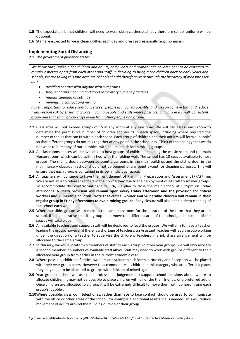- **1.5** The expectation is that children will need to wear clean clothes each day therefore school uniform will be optional.
- **1.6** Staff are expected to wear clean clothes each day and dress professionally (e.g.. no jeans).

#### **Implementing Social Distancing**

**2.1** The government guidance states:

*We know that, unlike older children and adults, early years and primary age children cannot be expected to remain 2 metres apart from each other and staff. In deciding to bring more children back to early years and schools, we are taking this into account. Schools should therefore work through the hierarchy of measures set out:*

- *avoiding contact with anyone with symptoms*
- *frequent hand cleaning and good respiratory hygiene practices*
- *regular cleaning of settings*
- *minimising contact and mixing*

*It is still important to reduce contact between people as much as possible, and we can achieve that and reduce transmission risk by ensuring children, young people and staff where possible, only mix in a small, consistent group and that small group stays away from other people and groups.*

- **2.2** Class sizes will not exceed groups of 15 in any room at any one time. We will risk assess each room to determine the permissible number of children and adults in each space, including where required the number of tables that can fit within each space. Each group of children and their adult/s will form a 'bubble' so that different groups do not mix together at any point in the school day. Think of the analogy that we do not want to burst any of our 'bubbles' with adults and children mixing groups.
- **2.3** All classrooms spaces will be available to host groups of children, including the music room and the main Nursery room which can be split in two with the folding wall. The school has 10 spaces available to host groups. The sliding doors between adjacent classrooms in the main building, and the sliding door in the main nursery classroom school should not be opened at any point except for cleaning purposes. This will ensure that each group is contained in its own individual space.
- **2.4** All teachers will continue to have their entitlement of Planning, Preparation and Assessment (PPA) time. We are not able to release teachers in the normal way due to the deployment of all staff to smaller groups. To accommodate this contractual right to PPA, we plan to close the main school at 1.15pm on Friday afternoons. **Nursery provision will remain open every Friday afternoon and the provision for critical workers and vulnerable children. Note that critical worker and vulnerable children will remain in their regular group in Friday afternoons to avoid mixing groups.** Early closure will also enable deep cleaning of the school each week.
- **2.5** Where possible, groups will remain in the same classroom for the duration of the term that they are in school. If it is imperative that if a group must move to a different area of the school, a deep clean of the spaces will take place.
- **2.6** All available teachers and support staff will be deployed to lead the groups. We will aim to have a teacher leading the group, however if there is a shortage of teachers, an Assistant Teacher will lead a group working under the direction of a teacher to supervise the children. Teachers in a job share arrangement will be allocated to the same group.
- **2.7** In Nursery, we will allocate two members of staff to each group. In other year groups, we will only allocate a second member if numbers of available staff allow. Staff may need to work with groups different to their allocated year group from earlier in the current academic year.
- **2.8** Where possible, children of critical workers and vulnerable children in Nursery and Reception will be placed with their year group peers. However to accommodate all children in this category who are offered a place, they may need to be allocated to groups with children of mixed ages.
- **2.9** Year group teachers will use their professional judgement to support school decisions about where to allocate children. It may not be possible to place children with all of the their friends, or a preferred adult. Once children are allocated to a group it will be extremely difficult to move them with compromising each group's 'bubble'.
- **2.10**Where possible, classroom telephones, rather than face to face contact, should be used to communicate with the office or other areas of the school, for example if additional assistance is needed. This will reduce movement of adults around the building outside of their group.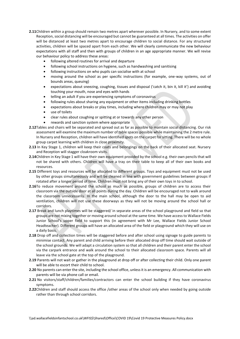- **2.11**Children within a group should remain two metres apart wherever possible. In Nursery, and to some extent Reception, social distancing will be encouraged but cannot be guaranteed at all times. The activities on offer will be distanced at least two metres apart to encourage children to social distance. For any structured activities, children will be spaced apart from each other. We will clearly communicate the new behaviour expectations with all staff and then with groups of children in an age appropriate manner. We will revise our behaviour policy to address these areas:
	- following altered routines for arrival and departure
	- following school instructions on hygiene, such as handwashing and sanitising
	- following instructions on who pupils can socialise with at school
	- moving around the school as per specific instructions (for example, one-way systems, out of bounds areas, queuing)
	- expectations about sneezing, coughing, tissues and disposal ('catch it, bin it, kill it') and avoiding touching your mouth, nose and eyes with hands
	- telling an adult if you are experiencing symptoms of coronavirus
	- following rules about sharing any equipment or other items including drinking bottles
	- expectations about breaks or play times, including where children may or may not play
	- use of toilets
	- clear rules about coughing or spitting at or towards any other person
	- rewards and sanction system where appropriate
- **2.12**Tables and chairs will be separated and spread out as far as possible to maintain social distancing. Our risk assessment will examine the maximum number of table spaces possible while maintaining the 2 metre rule. In Nursery and Reception, children will have identified spots on the carpet for sitting. There will be no whole group carpet learning with children in close proximity.
- **2.13** In Key Stage 1, children will keep their coats and belongings on the back of their allocated seat. Nursery and Reception will stagger cloakroom visits.
- **2.14**Children in Key Stage 1 will have their own equipment provided by the school e.g. their own pencils that will not be shared with others. Children will have a tray on their table to keep all of their own books and resources.
- **2.15** Different toys and resources will be allocated to different groups. Toys and equipment must not be used by other groups simultaneously and will be cleaned in line with government guidelines between groups if rotated after a longer period of time. Children must not bring any of their own toys in to school.
- **2.16**To reduce movement around the school as much as possible, groups of children are to access their classroom via the outside door at all points during the day. Children will be encouraged not to walk around the classroom unnecessarily. In the main school, although the door to the hall may be open to aid ventilation, children will not use these doorways as they will not be moving around the school hall or corridors.
- **2.17** Break and lunch playtimes will be staggered/ in separate areas of the school playground and field so that groups are not mixing together or moving around school at the same time. We have access to Wallace Fields Junior School's upper field to support this (in agreement with Mr Lee, Wallace Fields Junior School Headteacher). Different groups will have an allocated area of the field or playground which they will use on a daily basis.
- **2.18** Drop off and collection times will be staggered before and after school using signage to guide parents to minimise contact. Any parent and child arriving before their allocated drop off time should wait outside of the school grounds. We will adapt a circulation system so that all children and their parent enter the school via the carpark entrance and walk around the school to their allocated classroom space. Parents will all leave via the school gate at the top of the playground.
- **2.19** Parents will not wait or gather in the playground at drop off or after collecting their child. Only one parent will be able to escort their child to school.
- **2.20** No parents can enter the site, including the school office, unless it is an emergency. All communication with parents will be via phone call or email.
- **2.21** No visitors/staff/children/families/contractors can enter the school building if they have coronavirus symptoms.
- **2.22**Children and staff should access the office /other areas of the school only when needed by going outside rather than through school corridors.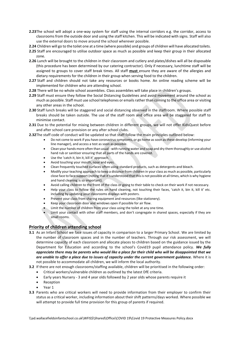- **2.23**The school will adopt a one-way system for staff using the internal corridors e.g. the corridor, access to classrooms from the outside door and using the staff kitchen. This will be indicated with signs. Staff will also use the external doors to move around the school wherever possible.
- **2.24** Children will go to the toilet one at a time (where possible) and groups of children will have allocated toilets.
- **2.25** Staff are encouraged to utilise outdoor space as much as possible and keep their group in their allocated zone.
- **2.26** Lunch will be brought to the children in their classroom and cutlery and plates/dishes will all be disposable (this procedure has been determined by our catering contractor). Only if necessary, lunchtime staff will be assigned to groups to cover staff break times. All staff **must** ensure they are aware of the allergies and dietary requirements for the children in their group when serving food to the children.
- **2.27** Staff and children should not take any resources or books home. An online reading scheme will be implemented for children who are attending school.
- **2.28** There will be no whole school assemblies. Class assemblies will take place in children's groups.
- **2.29** Staff must ensure they follow the Social Distancing Guidelines and avoid movement around the school as much as possible. Staff must use school telephones or emails rather than coming to the office area or visiting any other areas in the school.
- **2.30** Staff lunch breaks will be staggered and social distancing observed in the staffroom. Where possible staff breaks should be taken outside. The use of the staff room and office area will be staggered for staff to minimise contact.
- **2.31** Due to the potential for mixing between children in different groups, we will not offer KidsQuest before and after school care provision or any after school clubs.
- **2.32**The staff code of conduct will be updated so that staff follow the main principles outlined below:
	- Do not come to work if you have coronavirus symptoms, or go home as soon as these develop (informing your line manager), and access a test as soon as possible.
	- Clean your hands more often than usual with running water and soap and dry them thoroughly or use alcohol hand rub or sanitiser ensuring that all parts of the hands are covered.
	- Use the 'catch it, bin it, kill it' approach.
	- Avoid touching your mouth, nose and eyes.
	- Clean frequently touched surfaces often using standard products, such as detergents and bleach.
	- Modify your teaching approach to keep a distance from children in your class as much as possible, particularly close face to face support (noting that it's understood that this is not possible at all times, which is why hygiene and hand cleaning is so important).
	- Avoid calling children to the front of the class or going to their table to check on their work if not necessary.
	- Help your class to follow the rules on hand cleaning, not touching their faces, 'catch it, bin it, kill it' etc. including by updating your classrooms displays with posters.
	- Prevent your class from sharing equipment and resources (like stationery).
	- Keep your classroom door and windows open if possible for air flow.
	- Limit the number of children from your class using the toilet at any one time.
	- Limit your contact with other staff members, and don't congregate in shared spaces, especially if they are small rooms.

#### **Priority of children attending school**

- **3.1** As an Infant School we face issues of capacity in comparison to a larger Primary School. We are limited by the number of classroom spaces and in the number of teachers. Through our risk assessment, we will determine capacity of each classroom and allocate places to children based on the guidance issued by the Department for Education and according to the school's Covid19 pupil attendance policy. *We fully appreciate there may be parents who would like a place for their child who will be disappointed that we are unable to offer a place due to issues of capacity under the current government guidance.* Where it is not possible to accommodate all children, we will inform the local authority.
- **3.2** If there are not enough classrooms/staffing available, children will be prioritised in the following order:
	- Critical workers/vulnerable children as outlined by the latest DfE criteria.
	- Early years Nursery 3 and 4 year olds followed by 2 year olds whose parents require it
	- Reception
	- Year 1
- **3.3** Parents who are critical workers will need to provide information from their employer to confirm their status as a critical worker, including information about their shift patterns/days worked. Where possible we will attempt to provide full time provision for this group of parents if required.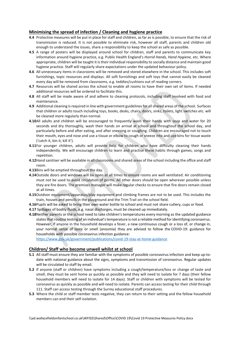#### **Minimising the spread of infection / Cleaning and hygiene practice**

- **4.4** Protective measures will be put in place for staff and children, as far as is possible, to ensure that the risk of transmission is reduced. It is not possible to eliminate risk, however all staff, parents and children old enough to understand the issues, share a responsibility to keep the school as safe as possible.
- **4.5** A range of posters will be displayed around school for children, staff and parents to communicate key information around hygiene practice, e.g. Public Health England's *Horrid Hands, Hand Hygiene,* etc. Where appropriate, children will be taught it is their individual responsibility to socially distance and maintain good hygiene practice. Staff will regularly share expectations under the updated behaviour policy.
- **4.6** All unnecessary items in classrooms will be removed and stored elsewhere in the school. This includes soft furnishings, topic resources and displays. All soft furnishings and soft toys that cannot easily be cleaned every day will be removed from classrooms, e.g. teddies/cushions out of reading corners.
- **4.7** Resources will be shared across the school to enable all rooms to have their own set of items. If needed additional resources will be ordered to facilitate this.
- **4.8** All staff will be made aware of and adhere to cleaning protocols, including staff involved with food and maintenance.
- **4.9** Additional cleaning is required in line with government guidelinesfor all shared areas of the school. Surfaces that children or adults touch including toys, books, desks, chairs, doors, sinks, toilets, light switches etc. will be cleaned more regularly than normal.
- **4.10**All adults and children will be encouraged to frequently wash their hands with soap and water for 20 seconds and dry thoroughly, wash their hands on arrival at school and throughout the school day, and particularly before and after eating, and after sneezing or coughing. Children are encouraged not to touch their mouth, eyes and nose and use a tissue or elbow to cough or sneeze into and use bins for tissue waste ('catch it, bin it, kill it').
- **4.11**For younger children, adults will provide help for children who have difficulty cleaning their hands independently. We will encourage children to learn and practise these habits through games, songs and repetition.
- **4.12**Hand sanitiser will be available in all classrooms and shared areas of the school including the office and staff room.
- **4.13**Bins will be emptied throughout the day.
- **4.14**Outside doors and windows will be open at all times to ensure rooms are well ventilated. Air conditioning must not be used to avoid circulation of germs. All other doors should be open wherever possible unless they are fire doors. The premises manager will make regular checks to ensure that fire doors remain closed at all times.
- **4.15**Outdoor equipment/apparatus/play equipment and climbing frames are not to be used. This includes the train, houses and pencils in the playground and the Trim Trail on the school field.
- **4.16**Pupils will be asked to bring their own water bottle to school and must not share cutlery, cups or food.
- **4.17** Spillages of bodily fluids, e.g. nasal discharges, must be cleaned up immediately.
- **4.18**Neither parents or the school need to take children's temperatures every morning as the updated guidance states that routine testing of an individual's temperature is not a reliable method for identifying coronavirus. However, If anyone in the household develops a fever, a new continuous cough or a loss of, or change in, your normal sense of taste or smell (anosmia) they are advised to follow the COVID-19: guidance for households with possible coronavirus infection guidance:

<https://www.gov.uk/government/publications/covid-19-stay-at-home-guidance>

#### **Children/ Staff who become unwell whilst at school**

- **5.1** All staff must ensure they are familiar with the symptoms of possible coronavirus infection and keep up-todate with national guidance about the signs, symptoms and transmission of coronavirus. Regular updates will be circulated to staff by email.
- **5.2** If anyone (staff or children) have symptoms including a cough/temperature/loss or change of taste and smell, they must be sent home as quickly as possible and they will need to isolate for 7 days (their fellow household members will need to isolate for 14 days). Staff or children with symptoms will be tested for coronavirus as quickly as possible and will need to isolate. Parents can access testing for their child through 111. Staff can access testing through the Surrey educational staff procedures.
- **5.3** Where the child or staff member tests negative, they can return to their setting and the fellow household members can end their self-isolation.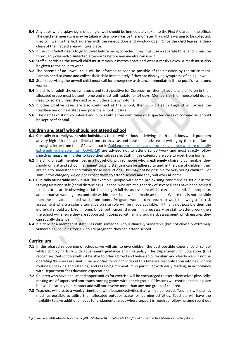- **5.4** Any pupil who displays signs of being unwell should be immediately taken to the First Aid area in the office. The child's temperature may be taken with a non-invasive thermometer. If a child is waiting to be collected, they will wait in the first aid area with the nearby door and window open. Once the child leaves, a deep clean of the first aid area will take place.
- **5.5** If the child/adult needs to go to toilet before being collected, they must use a separate toilet and it must be thoroughly cleaned/disinfected afterwards before anyone else can use it.
- **5.6** Staff supervising the unwell child must remain 2 metres apart and wear a mask/gloves. A mask must also be given to the child to wear.
- **5.2** The parents of an unwell child will be informed as soon as possible of the situation by the office team. Parents need to come and collect their child immediately if they are displaying symptoms of being unwell.
- **5.3** Staff supervising the unwell child must call for emergency assistance immediately if the pupil's symptoms worsen.
- **5.4** If a child or adult shows symptoms and tests positive for Coronavirus, then all adults and children in their allocated group must be sent home and must self-isolate for 14 days. Members of their household do not need to isolate unless the child or adult develops symptoms.
- **5.5** If other positive cases are also confirmed at the school, then Public Health England will advise the Headteacher on next steps and possible school closure.
- **5.6** The names of staff, volunteers and pupils with either confirmed or suspected cases of coronavirus should be kept confidential

#### **Children and Staff who should not attend school**

- **6.1 Clinically extremely vulnerable individuals** (those with serious underlying health conditions which put them at very high risk of severe illness from coronavirus and have been advised in writing by their clinician or through a letter from their GP, as set out i[n Guidance on shielding and protecting people who are clinically](https://www.gov.uk/government/publications/guidance-on-shielding-and-protecting-extremely-vulnerable-persons-from-covid-19/guidance-on-shielding-and-protecting-extremely-vulnerable-persons-from-covid-19)  [extremely vulnerable from COVID-19\)](https://www.gov.uk/government/publications/guidance-on-shielding-and-protecting-extremely-vulnerable-persons-from-covid-19/guidance-on-shielding-and-protecting-extremely-vulnerable-persons-from-covid-19) are advised not to attend school/work and must strictly follow shielding measures in order to keep themselves safe. Staff in this category are able to work from home.
- **6.2** If a child or staff member lives in a household with someone who is **extremely clinically vulnerable**, they should only attend school if stringent social distancing can be adhered to and, in the case of children, they are able to understand and follow those instructions. This may not be possible for very young children. For staff in this category we do not expect them to attend school and they will work at home.
- **6.3 Clinically vulnerable individuals** (for example, people with some pre-existing conditions as set out in the Staying alert and safe (social distancing) guidance) who are at higher risk of severe illness have been advised to take extra care in observing social distancing. A full risk assessment will be carried out and, if appropriate, an alternative working area and role within the school will be made available. Where this is not possible then the individual should work from home. Pregnant women can return to work following a full risk assessment where a safer alternative on site role will be made available. If this is not possible then the individual should work from home. Under both circumstances, if it is necessary for staff to attend work then the school will ensure they are supported in doing so with an individual risk assessment which ensures they can socially distance.
- **6.4** If a child or a member of staff lives with someone who is clinically vulnerable (but not clinically extremely vulnerable), including those who are pregnant, they can attend school.

#### **Curriculum**

- **7.1** In this phased re-opening of schools, we will aim to give children the best possible experience of school whilst complying fully with government guidance and this policy. The Department for Education (DfE) recognises that schools will not be able to offer a broad and balanced curriculum and clearly we will not be operating 'business as usual'. The priorities for our children at this time are resocialisation into new school routines; speaking and listening, and regaining momentum in particular with early reading, in accordance with Department for Education expectations.
- **7.2** Children who have had limited opportunities for exercise will be encouraged to exert themselves physically, making use of supervised non-touch running games within their group. PE lessons will continue to take place but will be strictly non-contact and will not involve more than any one group of children.
- **7.3** Teachers will create a weekly timetable with lessons/activities that will be delivered. Teachers will plan as much as possible to utilise their allocated outdoor space for learning activities. Teachers will have the flexibility to give additional focus to fundamental areas where support is required following time spent out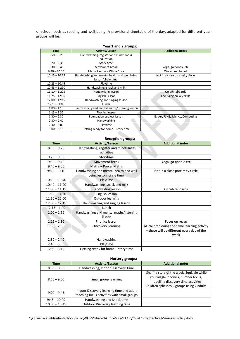of school, such as reading and well-being. A provisional timetable of the day, adapted for different year groups will be:

| Year 1 and 2 groups: |                                               |                                 |  |  |
|----------------------|-----------------------------------------------|---------------------------------|--|--|
| <b>Time</b>          | <b>Activity/Lesson</b>                        | <b>Additional notes</b>         |  |  |
| $8:50 - 9:20$        | Handwashing, register and mindfulness         |                                 |  |  |
|                      | education                                     |                                 |  |  |
| $9:20 - 9:30$        | Story time                                    |                                 |  |  |
| $9:30 - 9:40$        | Movement break                                | Yoga, go noodle etc             |  |  |
| $9:40 - 10:15$       | Maths Lesson - White Rose                     | Worksheet based                 |  |  |
| $10:15 - 10:25$      | Handwashing and mental health and well being  | Not in a close proximity circle |  |  |
|                      | lesson 'circle time'                          |                                 |  |  |
| $10:25 - 10:45$      | Playtime                                      |                                 |  |  |
| $10:45 - 11:10$      | Handwashing, snack and milk                   |                                 |  |  |
| $11:10 - 11:25$      | Handwriting lesson                            | On whiteboards                  |  |  |
| $11:25 - 12:00$      | English Lesson                                | Focussing on key skills         |  |  |
| $12:00 - 12:15$      | Handwashing and singing lesson                |                                 |  |  |
| $12:15 - 1:00$       | Lunch                                         |                                 |  |  |
| $1:00 - 1:15$        | Handwashing and mental maths/listening lesson |                                 |  |  |
| $1:15 - 1:30$        | Phonics lesson                                |                                 |  |  |
| $1:30 - 2:30$        | Foundation subject lesson                     | Eg Art/PSHE/Science/Computing   |  |  |
| $2:30 - 2:40$        | Handwashing                                   |                                 |  |  |
| $2:40 - 3:00$        | Playtime                                      |                                 |  |  |
| $3:00 - 3:15$        | Getting ready for home - story time           |                                 |  |  |

| <b>Reception groups:</b> |                                                                      |                                                                                                     |  |  |
|--------------------------|----------------------------------------------------------------------|-----------------------------------------------------------------------------------------------------|--|--|
| <b>Time</b>              | <b>Activity/Lesson</b>                                               | <b>Additional notes</b>                                                                             |  |  |
| $8:50 - 9:20$            | Handwashing, register and mindfulness<br>activities                  |                                                                                                     |  |  |
| $9:20 - 9:30$            | Storytime                                                            |                                                                                                     |  |  |
| $9:30 - 9:40$            | Movement break                                                       | Yoga, go noodle etc                                                                                 |  |  |
| $9:40 - 9:55$            | Maths - Power Maths                                                  |                                                                                                     |  |  |
| $9:55 - 10:10$           | Handwashing and mental health and well<br>being lesson 'circle time' | Not in a close proximity circle                                                                     |  |  |
| $10:10 - 10:40$          | Playtime                                                             |                                                                                                     |  |  |
| $10:40 - 11:00$          | Handwashing, snack and milk                                          |                                                                                                     |  |  |
| $11:00 - 11:15$          | Handwriting lesson                                                   | On whiteboards                                                                                      |  |  |
| $11:15 - 11:30$          | English lesson                                                       |                                                                                                     |  |  |
| $11:30 - 12:00$          | Outdoor learning                                                     |                                                                                                     |  |  |
| $12:00 - 12:15$          | Handwashing and singing lesson                                       |                                                                                                     |  |  |
| $12:15 - 1:00$           | Lunch                                                                |                                                                                                     |  |  |
| $1:00 - 1:15$            | Handwashing and mental maths/listening<br>lesson                     |                                                                                                     |  |  |
| $1:15 - 1:30$            | Phonics lesson                                                       | Focus on recap                                                                                      |  |  |
| $1:30 - 2:30$            | Discovery Learning                                                   | All children doing the same learning activity<br>- these will be different every day of the<br>week |  |  |
| $2:30 - 2:40$            | Handwashing                                                          |                                                                                                     |  |  |
| $2:40 - 3:00$            | Playtime                                                             |                                                                                                     |  |  |
| $3:00 - 3:15$            | Getting ready for home - story time                                  |                                                                                                     |  |  |

### **Nursery groups:**

| Time            | <b>Activity/Lesson</b>                                                                  | <b>Additional notes</b>                                                                                                                                               |
|-----------------|-----------------------------------------------------------------------------------------|-----------------------------------------------------------------------------------------------------------------------------------------------------------------------|
| $8:30 - 8:50$   | Handwashing, Indoor Discovery Time                                                      |                                                                                                                                                                       |
| $8:50 - 9:00$   | Small group learning                                                                    | Sharing story of the week, Squiggle while<br>you wiggle, phonics, number focus,<br>modelling discovery time activities<br>Children split into 2 groups using 2 adults |
| $9:00 - 9:45$   | Indoor Discovery learning time and adult<br>teaching focus activities with small groups |                                                                                                                                                                       |
| $9:45 - 10:00$  | Handwashing and Snack time                                                              |                                                                                                                                                                       |
| $10:00 - 10:45$ | Outdoor Discovery learning time                                                         |                                                                                                                                                                       |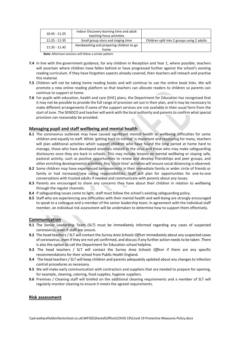| $10:45 - 11:25$                                        | Indoor Discovery learning time and adult |                                             |
|--------------------------------------------------------|------------------------------------------|---------------------------------------------|
|                                                        | teaching focus activities                |                                             |
| $11:25 - 11:35$                                        | Small group story and singing time       | Children split into 2 groups using 2 adults |
| $11:35 - 11.45$                                        | Handwashing and preparing children to go |                                             |
|                                                        | home                                     |                                             |
| Note: Afternoon sessions will follow a similar pattern |                                          |                                             |

**7.4** In line with the government guidance, for any children in Reception and Year 1, where possible, teachers will ascertain where children have fallen behind or have progressed further against the school's existing reading curriculum. If they have forgotten aspects already covered, then teachers will reteach and practise this material.

- **7.5** Children will not be taking home reading books and will continue to use the online book links. We will promote a new online reading platform so that teachers can allocate readers to children so parents can continue to support at home.
- **7.6** For pupils with education, health and care (EHC) plans, the Department for Education has recognised that it may not be possible to provide the full range of provision set out in their plan, and it may be necessary to make different arrangements if some of the support services are not available in their usual form from the start of June. The SENDCO and teacher will work with the local authority and parents to confirm what special provision can reasonably be provided.

#### **Managing pupil and staff wellbeing and mental health**

- **8.1** The coronavirus outbreak may have caused significant mental health or wellbeing difficulties for some children and equally to staff. While 'getting back to normal' is important and reassuring for many, teachers will plan additional activities which support children who have found the long period at home hard to manage, those who have developed anxieties related to the virus and those who may make safeguarding disclosures once they are back in schools. This may include lessons on mental wellbeing or staying safe, pastoral activity, such as positive opportunities to renew and develop friendships and peer groups, and other enriching developmental activities. Any 'circle time' activities will ensure social distancing is observed.
- **8.2** Some children may have experienced bereavements in their immediate family or wider circle of friends or family or had increased/new caring responsibilities. Staff will plan for opportunities for one-to-one conversations with trusted adults if needed and communicate with parents about any issues.
- **8.3** Parents are encouraged to share any concerns they have about their children in relation to wellbeing through the regular channels.
- **8.4** If safeguarding issues come to light, staff must follow the school's existing safeguarding policy.
- **8.5** Staff who are experiencing any difficulties with their mental health and well-being are strongly encouraged to speak to a colleague and a member of the senior leadership team. In agreement with the individual staff member, an individual risk assessment will be undertaken to determine how to support them effectively.

#### **Communication**

- **9.1** The Senior Leadership Team (SLT) must be immediately informed regarding any cases of suspected coronavirus, even if staff are unsure.
- **9.2** The head teachers / SLT will contact the Surrey *Area Schools Officer* immediately about any suspected cases of coronavirus, even if they are not yet confirmed, and discuss if any further action needs to be taken. There is also the option to call the Department for Education school helpline.
- **9.3** The head teachers / SLT will contact the Surrey *Area Schools Officer* if there are any specific recommendations for their school from Public Health England.
- **9.4** The head teachers / SLT will keep children and parents adequately updated about any changes to infection control procedures as necessary.
- **9.5** We will make early communication with contractors and suppliers that are needed to prepare for opening, for example, cleaning, catering, food supplies, hygiene suppliers.
- **9.6** Premises / Cleaning staff will briefed on the additional cleaning requirements and a member of SLT will regularly monitor cleaning to ensure it meets the agreed requirements.

#### **Risk assessment**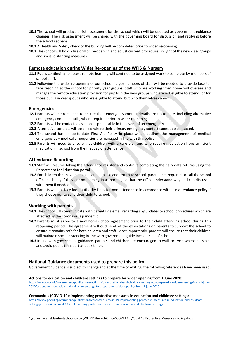- **10.1** The school will produce a risk assessment for the school which will be updated as government guidance changes. The risk assessment will be shared with the governing board for discussion and ratifying before the school reopens.
- **10.2** A Health and Safety check of the building will be completed prior to wider re-opening.
- **10.3** The school will hold a fire drill on re-opening and adjust current procedures in light of the new class groups and social distancing measures.

#### **Remote education during Wider Re-opening of the WFIS & Nursery**

- **11.1** Pupils continuing to access remote learning will continue to be assigned work to complete by members of school staff.
- **11.2** Following the wider re-opening of our school, larger numbers of staff will be needed to provide face-toface teaching at the school for priority year groups. Staff who are working from home will oversee and manage the remote education provision for pupils in the year groups who are not eligible to attend, or for those pupils in year groups who are eligible to attend but who themselves cannot.

#### **Emergencies**

- **12.1** Parents will be reminded to ensure their emergency contact details are up-to-date, including alternative emergency contact details, where required prior to wider reopening.
- **12.2** Parents will be contacted as soon as practicable in the event of an emergency.
- **12.3** Alternative contacts will be called where their primary emergency contact cannot be contacted.
- **12.4** The school has an up-to-date First Aid Policy in place which outlines the management of medical emergencies – medical emergencies are managed in line with this policy.
- **12.5** Parents will need to ensure that children with a care plan and who require medication have sufficient medication in school from the first day of attendance.

#### **Attendance Reporting**

- **13.1** Staff will resume taking the attendance register and continue completing the daily data returns using the Department for Education portal.
- **13.2** For children that have been allocated a place and return to school, parents are required to call the school office each day if they are not coming in as normal, so that the office understand why and can discuss it with them if needed.
- **13.3** Parents will not face local authority fines for non-attendance in accordance with our attendance policy if they choose not to send their child to school.

#### **Working with parents**

- **14.1** The school will communicate with parents via email regarding any updates to school procedures which are affected by the coronavirus pandemic.
- **14.2** Parents must agree to a new home-school agreement prior to their child attending school during this reopening period. The agreement will outline all of the expectations on parents to support the school to ensure it remains safe for both children and staff. Most importantly, parents will ensure that their children will maintain social distancing in line with government guidelines outside of school.
- **14.3** In line with government guidance, parents and children are encouraged to walk or cycle where possible, and avoid public transport at peak times.

#### **National Guidance documents used to prepare this policy**

Government guidance is subject to change and at the time of writing, the following references have been used:

#### **Actions for education and childcare settings to prepare for wider opening from 1 June 2020:**

[https://www.gov.uk/government/publications/actions-for-educational-and-childcare-settings-to-prepare-for-wider-opening-from-1-june-](https://www.gov.uk/government/publications/actions-for-educational-and-childcare-settings-to-prepare-for-wider-opening-from-1-june-2020/actions-for-education-and-childcare-settings-to-prepare-for-wider-opening-from-1-june-2020)[2020/actions-for-education-and-childcare-settings-to-prepare-for-wider-opening-from-1-june-2020](https://www.gov.uk/government/publications/actions-for-educational-and-childcare-settings-to-prepare-for-wider-opening-from-1-june-2020/actions-for-education-and-childcare-settings-to-prepare-for-wider-opening-from-1-june-2020)

**Coronavirus (COVID-19): implementing protective measures in education and childcare settings:**

[https://www.gov.uk/government/publications/coronavirus-covid-19-implementing-protective-measures-in-education-and-childcare](https://www.gov.uk/government/publications/coronavirus-covid-19-implementing-protective-measures-in-education-and-childcare-settings/coronavirus-covid-19-implementing-protective-measures-in-education-and-childcare-settings)[settings/coronavirus-covid-19-implementing-protective-measures-in-education-and-childcare-settings](https://www.gov.uk/government/publications/coronavirus-covid-19-implementing-protective-measures-in-education-and-childcare-settings/coronavirus-covid-19-implementing-protective-measures-in-education-and-childcare-settings)